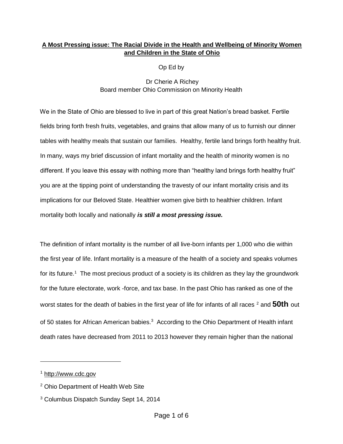## **A Most Pressing issue: The Racial Divide in the Health and Wellbeing of Minority Women and Children in the State of Ohio**

Op Ed by

Dr Cherie A Richey Board member Ohio Commission on Minority Health

We in the State of Ohio are blessed to live in part of this great Nation's bread basket. Fertile fields bring forth fresh fruits, vegetables, and grains that allow many of us to furnish our dinner tables with healthy meals that sustain our families. Healthy, fertile land brings forth healthy fruit. In many, ways my brief discussion of infant mortality and the health of minority women is no different. If you leave this essay with nothing more than "healthy land brings forth healthy fruit" you are at the tipping point of understanding the travesty of our infant mortality crisis and its implications for our Beloved State. Healthier women give birth to healthier children. Infant mortality both locally and nationally *is still a most pressing issue.*

The definition of infant mortality is the number of all live-born infants per 1,000 who die within the first year of life. Infant mortality is a measure of the health of a society and speaks volumes for its future.<sup>1</sup> The most precious product of a society is its children as they lay the groundwork for the future electorate, work -force, and tax base. In the past Ohio has ranked as one of the worst states for the death of babies in the first year of life for infants of all races <sup>2</sup> and **50th** out of 50 states for African American babies. $3$  According to the Ohio Department of Health infant death rates have decreased from 2011 to 2013 however they remain higher than the national

<sup>1</sup> [http://www.cdc.gov](http://www.cdc.gov/)

<sup>2</sup> Ohio Department of Health Web Site

<sup>3</sup> Columbus Dispatch Sunday Sept 14, 2014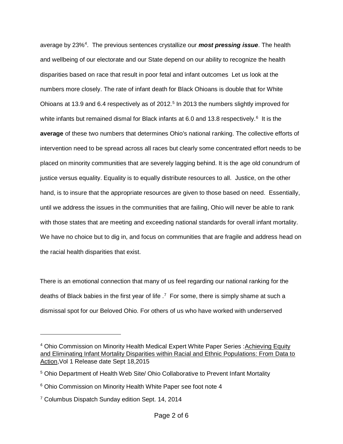average by 23%<sup>4</sup>. The previous sentences crystallize our **most pressing issue**. The health and wellbeing of our electorate and our State depend on our ability to recognize the health disparities based on race that result in poor fetal and infant outcomes Let us look at the numbers more closely. The rate of infant death for Black Ohioans is double that for White Ohioans at 13.9 and 6.4 respectively as of 2012.<sup>5</sup> In 2013 the numbers slightly improved for white infants but remained dismal for Black infants at 6.0 and 13.8 respectively.<sup>6</sup> It is the **average** of these two numbers that determines Ohio's national ranking. The collective efforts of intervention need to be spread across all races but clearly some concentrated effort needs to be placed on minority communities that are severely lagging behind. It is the age old conundrum of justice versus equality. Equality is to equally distribute resources to all. Justice, on the other hand, is to insure that the appropriate resources are given to those based on need. Essentially, until we address the issues in the communities that are failing, Ohio will never be able to rank with those states that are meeting and exceeding national standards for overall infant mortality. We have no choice but to dig in, and focus on communities that are fragile and address head on the racial health disparities that exist.

There is an emotional connection that many of us feel regarding our national ranking for the deaths of Black babies in the first year of life  $\cdot$ <sup>7</sup> For some, there is simply shame at such a dismissal spot for our Beloved Ohio. For others of us who have worked with underserved

 $\overline{a}$ 

<sup>&</sup>lt;sup>4</sup> Ohio Commission on Minority Health Medical Expert White Paper Series : Achieving Equity and Eliminating Infant Mortality Disparities within Racial and Ethnic Populations: From Data to Action,Vol 1 Release date Sept 18,2015

<sup>5</sup> Ohio Department of Health Web Site/ Ohio Collaborative to Prevent Infant Mortality

<sup>&</sup>lt;sup>6</sup> Ohio Commission on Minority Health White Paper see foot note 4

<sup>&</sup>lt;sup>7</sup> Columbus Dispatch Sunday edition Sept. 14, 2014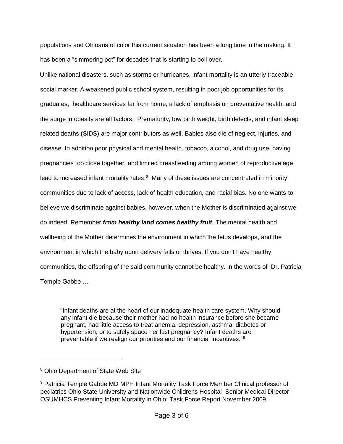populations and Ohioans of color this current situation has been a long time in the making. It has been a "simmering pot" for decades that is starting to boil over.

Unlike national disasters, such as storms or hurricanes, infant mortality is an utterly traceable social marker. A weakened public school system, resulting in poor job opportunities for its graduates, healthcare services far from home, a lack of emphasis on preventative health, and the surge in obesity are all factors. Prematurity, low birth weight, birth defects, and infant sleep related deaths (SIDS) are major contributors as well. Babies also die of neglect, injuries, and disease. In addition poor physical and mental health, tobacco, alcohol, and drug use, having pregnancies too close together, and limited breastfeeding among women of reproductive age lead to increased infant mortality rates. $8$  Many of these issues are concentrated in minority communities due to lack of access, lack of health education, and racial bias. No one wants to believe we discriminate against babies, however, when the Mother is discriminated against we do indeed. Remember *from healthy land comes healthy fruit*. The mental health and wellbeing of the Mother determines the environment in which the fetus develops, and the environment in which the baby upon delivery fails or thrives. If you don't have healthy communities, the offspring of the said community cannot be healthy. In the words of Dr. Patricia Temple Gabbe …

"Infant deaths are at the heart of our inadequate health care system. Why should any infant die because their mother had no health insurance before she became pregnant, had little access to treat anemia, depression, asthma, diabetes or hypertension, or to safely space her last pregnancy? Infant deaths are preventable if we realign our priorities and our financial incentives."<sup>9</sup>

<sup>8</sup> Ohio Department of State Web Site

<sup>9</sup> Patricia Temple Gabbe MD MPH Infant Mortality Task Force Member Clinical professor of pediatrics Ohio State University and Nationwide Childrens Hospital Senior Medical Director OSUMHCS Preventing Infant Mortality in Ohio: Task Force Report November 2009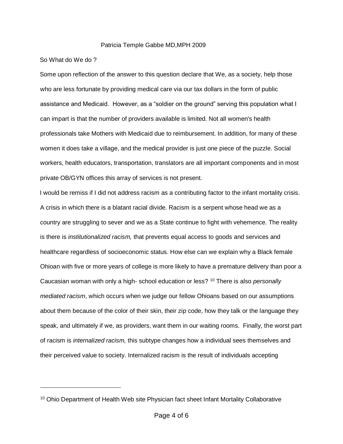## Patricia Temple Gabbe MD,MPH 2009

## So What do We do ?

Some upon reflection of the answer to this question declare that We, as a society, help those who are less fortunate by providing medical care via our tax dollars in the form of public assistance and Medicaid. However, as a "soldier on the ground" serving this population what I can impart is that the number of providers available is limited. Not all women's health professionals take Mothers with Medicaid due to reimbursement. In addition, for many of these women it does take a village, and the medical provider is just one piece of the puzzle. Social workers, health educators, transportation, translators are all important components and in most private OB/GYN offices this array of services is not present.

I would be remiss if I did not address racism as a contributing factor to the infant mortality crisis. A crisis in which there is a blatant racial divide. Racism is a serpent whose head we as a country are struggling to sever and we as a State continue to fight with vehemence. The reality is there is *institutionalized racism,* that prevents equal access to goods and services and healthcare regardless of socioeconomic status. How else can we explain why a Black female Ohioan with five or more years of college is more likely to have a premature delivery than poor a Caucasian woman with only a high- school education or less? <sup>10</sup> There is also *personally mediated racism*, which occurs when we judge our fellow Ohioans based on our assumptions about them because of the color of their skin, their zip code, how they talk or the language they speak, and ultimately if we, as providers, want them in our waiting rooms. Finally, the worst part of racism is *internalized racism,* this subtype changes how a individual sees themselves and their perceived value to society. Internalized racism is the result of individuals accepting

<sup>&</sup>lt;sup>10</sup> Ohio Department of Health Web site Physician fact sheet Infant Mortality Collaborative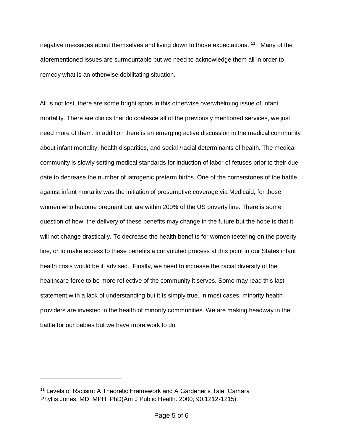negative messages about themselves and living down to those expectations. <sup>11</sup> Many of the aforementioned issues are surmountable but we need to acknowledge them all in order to remedy what is an otherwise debilitating situation.

All is not lost, there are some bright spots in this otherwise overwhelming issue of infant mortality. There are clinics that do coalesce all of the previously mentioned services, we just need more of them. In addition there is an emerging active discussion in the medical community about infant mortality, health disparities, and social /racial determinants of health. The medical community is slowly setting medical standards for induction of labor of fetuses prior to their due date to decrease the number of iatrogenic preterm births. One of the cornerstones of the battle against infant mortality was the initiation of presumptive coverage via Medicaid, for those women who become pregnant but are within 200% of the US poverty line. There is some question of how the delivery of these benefits may change in the future but the hope is that it will not change drastically. To decrease the health benefits for women teetering on the poverty line, or to make access to these benefits a convoluted process at this point in our States infant health crisis would be ill advised. Finally, we need to increase the racial diversity of the healthcare force to be more reflective of the community it serves. Some may read this last statement with a lack of understanding but it is simply true. In most cases, minority health providers are invested in the health of minority communities. We are making headway in the battle for our babies but we have more work to do.

 $\overline{a}$ 

<sup>&</sup>lt;sup>11</sup> Levels of Racism: A Theoretic Framework and A Gardener's Tale, Camara Phyllis Jones, MD, MPH, PhD(Am J Public Health. 2000; 90:1212-1215).